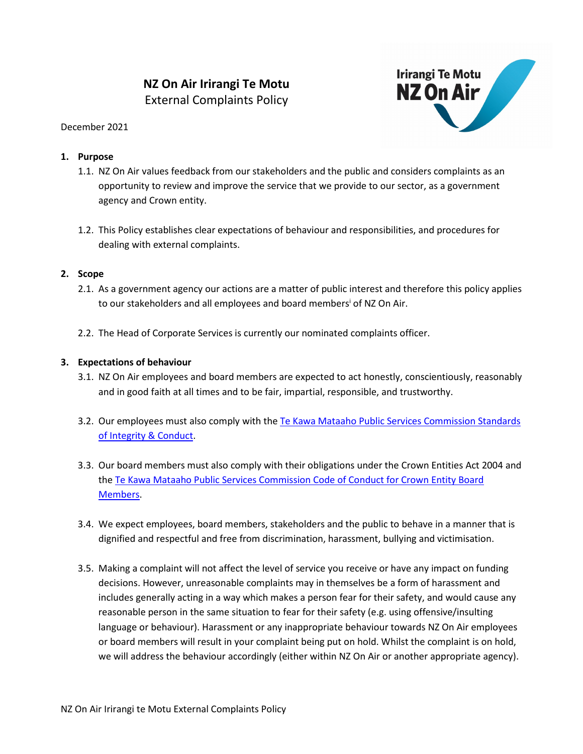# **NZ On Air Irirangi Te Motu** External Complaints Policy



#### December 2021

## **1. Purpose**

- 1.1. NZ On Air values feedback from our stakeholders and the public and considers complaints as an opportunity to review and improve the service that we provide to our sector, as a government agency and Crown entity.
- 1.2. This Policy establishes clear expectations of behaviour and responsibilities, and procedures for dealing with external complaints.

#### **2. Scope**

- 2.1. As a government agency our actions are a matter of public interest and therefore this policy applies to our stakeholders and all employees and board members<sup>i</sup> of NZ On Air.
- 2.2. The Head of Corporate Services is currently our nominated complaints officer.

### **3. Expectations of behaviour**

- 3.1. NZ On Air employees and board members are expected to act honestly, conscientiously, reasonably and in good faith at all times and to be fair, impartial, responsible, and trustworthy.
- 3.2. Our employees must also comply with the Te [Kawa Mataaho Public Services Commission Standards](https://www.publicservice.govt.nz/resources/code/)  [of Integrity & Conduct.](https://www.publicservice.govt.nz/resources/code/)
- 3.3. Our board members must also comply with their obligations under the Crown Entities Act 2004 and the [Te Kawa Mataaho Public Services Commission Code of Conduct for Crown Entity Board](https://www.publicservice.govt.nz/our-work/integrityandconduct/coc-for-crown-entity-board-members/)  [Members.](https://www.publicservice.govt.nz/our-work/integrityandconduct/coc-for-crown-entity-board-members/)
- 3.4. We expect employees, board members, stakeholders and the public to behave in a manner that is dignified and respectful and free from discrimination, harassment, bullying and victimisation.
- 3.5. Making a complaint will not affect the level of service you receive or have any impact on funding decisions. However, unreasonable complaints may in themselves be a form of harassment and includes generally acting in a way which makes a person fear for their safety, and would cause any reasonable person in the same situation to fear for their safety (e.g. using offensive/insulting language or behaviour). Harassment or any inappropriate behaviour towards NZ On Air employees or board members will result in your complaint being put on hold. Whilst the complaint is on hold, we will address the behaviour accordingly (either within NZ On Air or another appropriate agency).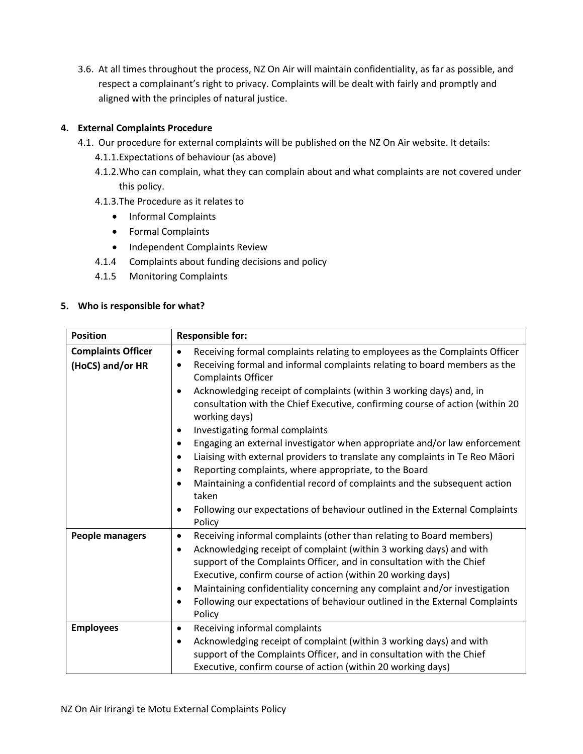3.6. At all times throughout the process, NZ On Air will maintain confidentiality, as far as possible, and respect a complainant's right to privacy. Complaints will be dealt with fairly and promptly and aligned with the principles of natural justice.

# **4. External Complaints Procedure**

- 4.1. Our procedure for external complaints will be published on the NZ On Air website. It details:
	- 4.1.1.Expectations of behaviour (as above)
	- 4.1.2.Who can complain, what they can complain about and what complaints are not covered under this policy.
	- 4.1.3.The Procedure as it relates to
		- Informal Complaints
		- Formal Complaints
		- Independent Complaints Review
	- 4.1.4 Complaints about funding decisions and policy
	- 4.1.5 Monitoring Complaints

# **5. Who is responsible for what?**

| <b>Position</b>           | <b>Responsible for:</b>                                                                                                                                                                                                                                                                                                                                                                                                                                                                                |  |
|---------------------------|--------------------------------------------------------------------------------------------------------------------------------------------------------------------------------------------------------------------------------------------------------------------------------------------------------------------------------------------------------------------------------------------------------------------------------------------------------------------------------------------------------|--|
| <b>Complaints Officer</b> | Receiving formal complaints relating to employees as the Complaints Officer<br>$\bullet$                                                                                                                                                                                                                                                                                                                                                                                                               |  |
| (HoCS) and/or HR          | Receiving formal and informal complaints relating to board members as the<br>$\bullet$<br><b>Complaints Officer</b>                                                                                                                                                                                                                                                                                                                                                                                    |  |
|                           | Acknowledging receipt of complaints (within 3 working days) and, in<br>$\bullet$<br>consultation with the Chief Executive, confirming course of action (within 20<br>working days)                                                                                                                                                                                                                                                                                                                     |  |
|                           | Investigating formal complaints<br>$\bullet$                                                                                                                                                                                                                                                                                                                                                                                                                                                           |  |
|                           | Engaging an external investigator when appropriate and/or law enforcement<br>$\bullet$                                                                                                                                                                                                                                                                                                                                                                                                                 |  |
|                           | Liaising with external providers to translate any complaints in Te Reo Māori<br>$\bullet$                                                                                                                                                                                                                                                                                                                                                                                                              |  |
|                           | Reporting complaints, where appropriate, to the Board<br>$\bullet$                                                                                                                                                                                                                                                                                                                                                                                                                                     |  |
|                           | Maintaining a confidential record of complaints and the subsequent action<br>$\bullet$<br>taken                                                                                                                                                                                                                                                                                                                                                                                                        |  |
|                           | Following our expectations of behaviour outlined in the External Complaints<br>$\bullet$<br>Policy                                                                                                                                                                                                                                                                                                                                                                                                     |  |
| <b>People managers</b>    | Receiving informal complaints (other than relating to Board members)<br>$\bullet$<br>Acknowledging receipt of complaint (within 3 working days) and with<br>٠<br>support of the Complaints Officer, and in consultation with the Chief<br>Executive, confirm course of action (within 20 working days)<br>Maintaining confidentiality concerning any complaint and/or investigation<br>$\bullet$<br>Following our expectations of behaviour outlined in the External Complaints<br>$\bullet$<br>Policy |  |
| <b>Employees</b>          | Receiving informal complaints<br>$\bullet$                                                                                                                                                                                                                                                                                                                                                                                                                                                             |  |
|                           | Acknowledging receipt of complaint (within 3 working days) and with<br>٠                                                                                                                                                                                                                                                                                                                                                                                                                               |  |
|                           | support of the Complaints Officer, and in consultation with the Chief                                                                                                                                                                                                                                                                                                                                                                                                                                  |  |
|                           | Executive, confirm course of action (within 20 working days)                                                                                                                                                                                                                                                                                                                                                                                                                                           |  |